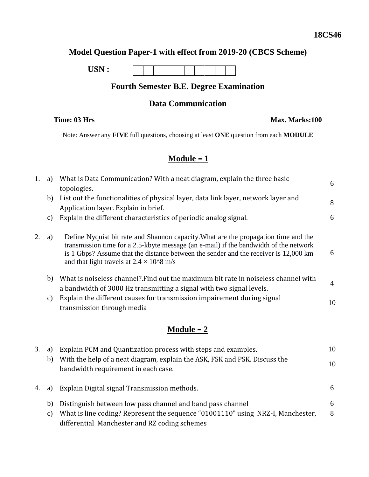## **Model Question Paper-1 with effect from 2019-20 (CBCS Scheme)**



## **Fourth Semester B.E. Degree Examination**

#### **Data Communication**

**Time: 03 Hrs Max. Marks:100** 

Note: Answer any **FIVE** full questions, choosing at least **ONE** question from each **MODULE**

### **Module – 1**

| 1. |    | a) What is Data Communication? With a neat diagram, explain the three basic<br>topologies.                                                                                                                                                                                                                                | 6  |
|----|----|---------------------------------------------------------------------------------------------------------------------------------------------------------------------------------------------------------------------------------------------------------------------------------------------------------------------------|----|
|    | b) | List out the functionalities of physical layer, data link layer, network layer and<br>Application layer. Explain in brief.                                                                                                                                                                                                | 8  |
|    | C) | Explain the different characteristics of periodic analog signal.                                                                                                                                                                                                                                                          | 6  |
| 2. | a) | Define Nyquist bit rate and Shannon capacity. What are the propagation time and the<br>transmission time for a 2.5-kbyte message (an e-mail) if the bandwidth of the network<br>is 1 Gbps? Assume that the distance between the sender and the receiver is 12,000 km<br>and that light travels at $2.4 \times 10^{6}$ m/s | 6  |
|    | b) | What is noiseless channel? Find out the maximum bit rate in noiseless channel with<br>a bandwidth of 3000 Hz transmitting a signal with two signal levels.                                                                                                                                                                | 4  |
|    | C) | Explain the different causes for transmission impairement during signal<br>transmission through media                                                                                                                                                                                                                     | 10 |
|    |    |                                                                                                                                                                                                                                                                                                                           |    |

## **Module – 2**

| 3. | a) | Explain PCM and Quantization process with steps and examples.                                                                    | 10 |
|----|----|----------------------------------------------------------------------------------------------------------------------------------|----|
|    | b) | With the help of a neat diagram, explain the ASK, FSK and PSK. Discuss the<br>bandwidth requirement in each case.                | 10 |
| 4. | a) | Explain Digital signal Transmission methods.                                                                                     | 6  |
|    | b) | Distinguish between low pass channel and band pass channel                                                                       | 6  |
|    | C) | What is line coding? Represent the sequence "01001110" using NRZ-I, Manchester,<br>differential Manchester and RZ coding schemes | 8  |